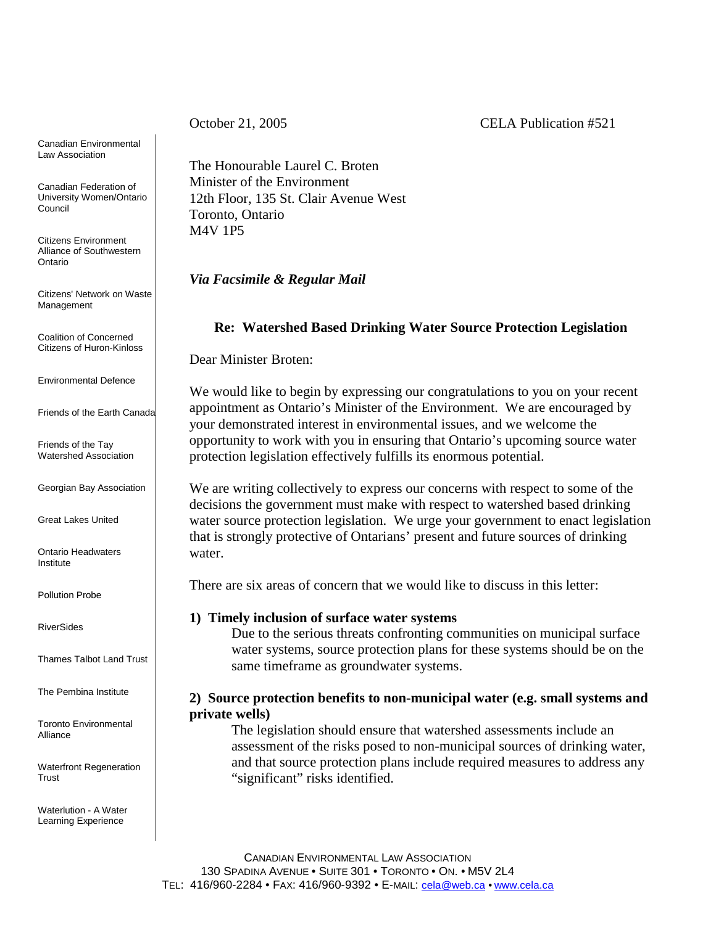October 21, 2005 CELA Publication #521

Canadian Environmental Law Association

Canadian Federation of University Women/Ontario Council

Citizens Environment Alliance of Southwestern Ontario

Citizens' Network on Waste Management

Coalition of Concerned Citizens of Huron-Kinloss

Environmental Defence

Friends of the Earth Canada

Friends of the Tay Watershed Association

Georgian Bay Association

Great Lakes United

Ontario Headwaters Institute

Pollution Probe

RiverSides

Thames Talbot Land Trust

The Pembina Institute

Toronto Environmental Alliance

Waterfront Regeneration Trust

Waterlution - A Water Learning Experience

The Honourable Laurel C. Broten Minister of the Environment 12th Floor, 135 St. Clair Avenue West Toronto, Ontario M4V 1P5

*Via Facsimile & Regular Mail*

# **Re: Watershed Based Drinking Water Source Protection Legislation**

Dear Minister Broten:

We would like to begin by expressing our congratulations to you on your recent appointment as Ontario's Minister of the Environment. We are encouraged by your demonstrated interest in environmental issues, and we welcome the opportunity to work with you in ensuring that Ontario's upcoming source water protection legislation effectively fulfills its enormous potential.

We are writing collectively to express our concerns with respect to some of the decisions the government must make with respect to watershed based drinking water source protection legislation. We urge your government to enact legislation that is strongly protective of Ontarians' present and future sources of drinking water.

There are six areas of concern that we would like to discuss in this letter:

## **1) Timely inclusion of surface water systems**

Due to the serious threats confronting communities on municipal surface water systems, source protection plans for these systems should be on the same timeframe as groundwater systems.

# **2) Source protection benefits to non-municipal water (e.g. small systems and private wells)**

The legislation should ensure that watershed assessments include an assessment of the risks posed to non-municipal sources of drinking water, and that source protection plans include required measures to address any "significant" risks identified.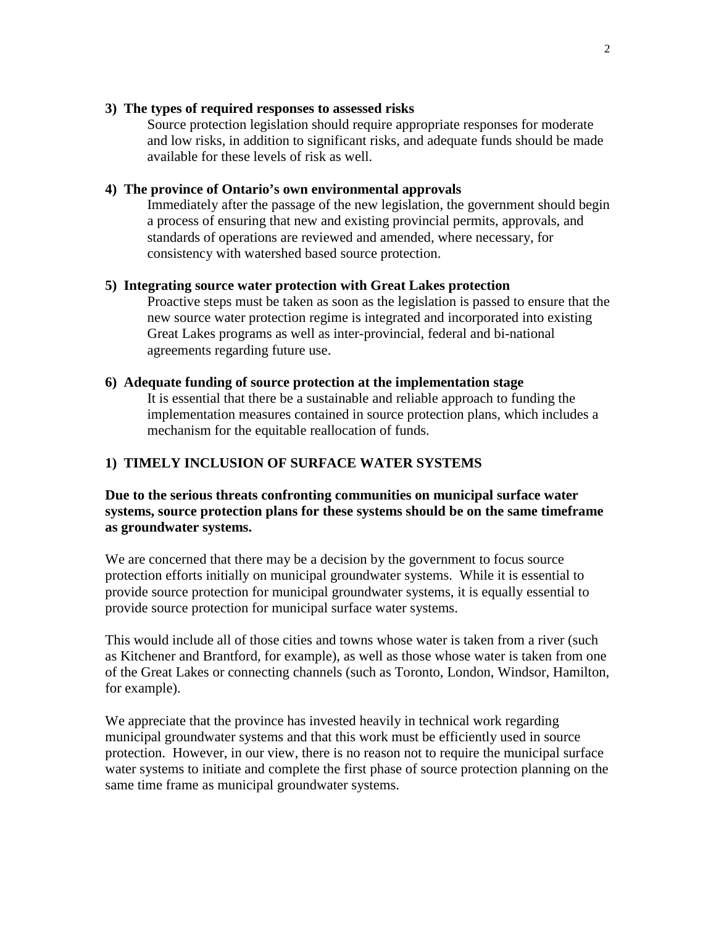## **3) The types of required responses to assessed risks**

Source protection legislation should require appropriate responses for moderate and low risks, in addition to significant risks, and adequate funds should be made available for these levels of risk as well.

## **4) The province of Ontario's own environmental approvals**

Immediately after the passage of the new legislation, the government should begin a process of ensuring that new and existing provincial permits, approvals, and standards of operations are reviewed and amended, where necessary, for consistency with watershed based source protection.

## **5) Integrating source water protection with Great Lakes protection**

Proactive steps must be taken as soon as the legislation is passed to ensure that the new source water protection regime is integrated and incorporated into existing Great Lakes programs as well as inter-provincial, federal and bi-national agreements regarding future use.

### **6) Adequate funding of source protection at the implementation stage**

It is essential that there be a sustainable and reliable approach to funding the implementation measures contained in source protection plans, which includes a mechanism for the equitable reallocation of funds.

# **1) TIMELY INCLUSION OF SURFACE WATER SYSTEMS**

**Due to the serious threats confronting communities on municipal surface water systems, source protection plans for these systems should be on the same timeframe as groundwater systems.**

We are concerned that there may be a decision by the government to focus source protection efforts initially on municipal groundwater systems. While it is essential to provide source protection for municipal groundwater systems, it is equally essential to provide source protection for municipal surface water systems.

This would include all of those cities and towns whose water is taken from a river (such as Kitchener and Brantford, for example), as well as those whose water is taken from one of the Great Lakes or connecting channels (such as Toronto, London, Windsor, Hamilton, for example).

We appreciate that the province has invested heavily in technical work regarding municipal groundwater systems and that this work must be efficiently used in source protection. However, in our view, there is no reason not to require the municipal surface water systems to initiate and complete the first phase of source protection planning on the same time frame as municipal groundwater systems.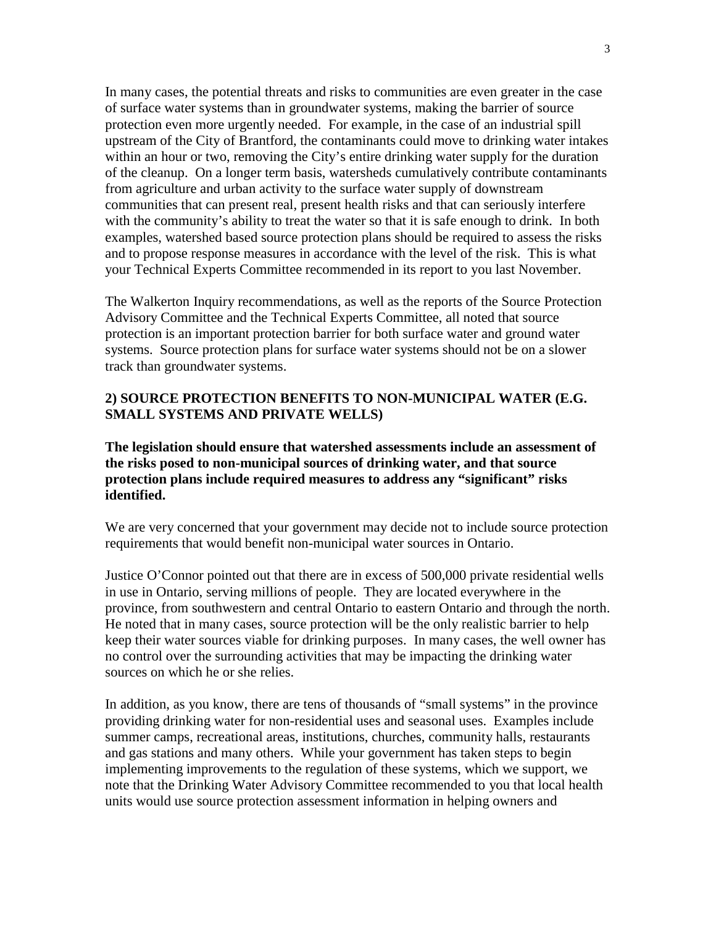In many cases, the potential threats and risks to communities are even greater in the case of surface water systems than in groundwater systems, making the barrier of source protection even more urgently needed. For example, in the case of an industrial spill upstream of the City of Brantford, the contaminants could move to drinking water intakes within an hour or two, removing the City's entire drinking water supply for the duration of the cleanup. On a longer term basis, watersheds cumulatively contribute contaminants from agriculture and urban activity to the surface water supply of downstream communities that can present real, present health risks and that can seriously interfere with the community's ability to treat the water so that it is safe enough to drink. In both examples, watershed based source protection plans should be required to assess the risks and to propose response measures in accordance with the level of the risk. This is what your Technical Experts Committee recommended in its report to you last November.

The Walkerton Inquiry recommendations, as well as the reports of the Source Protection Advisory Committee and the Technical Experts Committee, all noted that source protection is an important protection barrier for both surface water and ground water systems. Source protection plans for surface water systems should not be on a slower track than groundwater systems.

# **2) SOURCE PROTECTION BENEFITS TO NON-MUNICIPAL WATER (E.G. SMALL SYSTEMS AND PRIVATE WELLS)**

**The legislation should ensure that watershed assessments include an assessment of the risks posed to non-municipal sources of drinking water, and that source protection plans include required measures to address any "significant" risks identified.**

We are very concerned that your government may decide not to include source protection requirements that would benefit non-municipal water sources in Ontario.

Justice O'Connor pointed out that there are in excess of 500,000 private residential wells in use in Ontario, serving millions of people. They are located everywhere in the province, from southwestern and central Ontario to eastern Ontario and through the north. He noted that in many cases, source protection will be the only realistic barrier to help keep their water sources viable for drinking purposes. In many cases, the well owner has no control over the surrounding activities that may be impacting the drinking water sources on which he or she relies.

In addition, as you know, there are tens of thousands of "small systems" in the province providing drinking water for non-residential uses and seasonal uses. Examples include summer camps, recreational areas, institutions, churches, community halls, restaurants and gas stations and many others. While your government has taken steps to begin implementing improvements to the regulation of these systems, which we support, we note that the Drinking Water Advisory Committee recommended to you that local health units would use source protection assessment information in helping owners and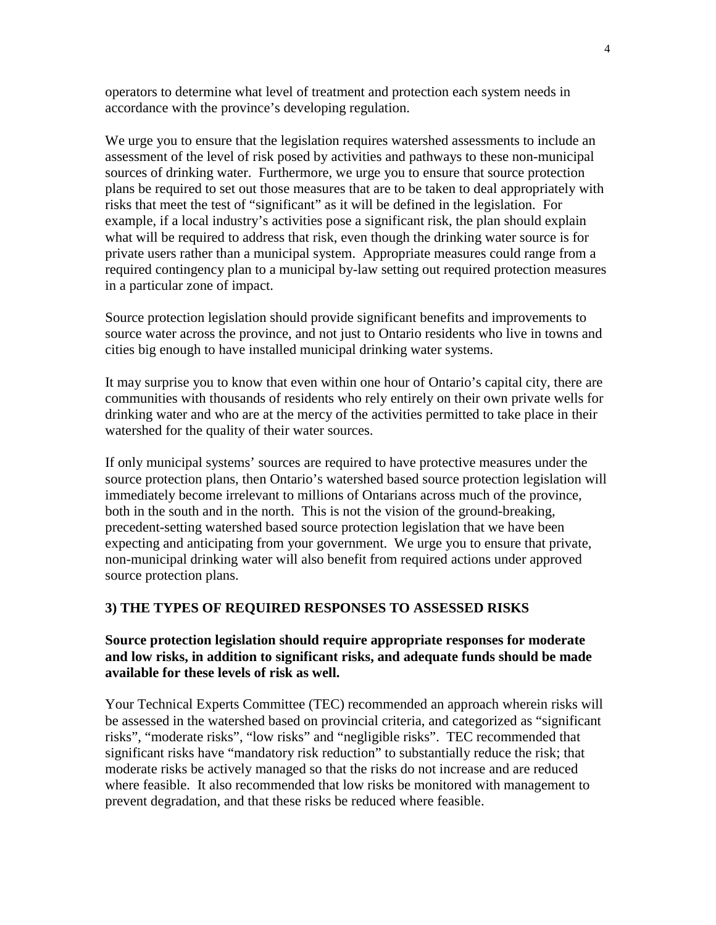operators to determine what level of treatment and protection each system needs in accordance with the province's developing regulation.

We urge you to ensure that the legislation requires watershed assessments to include an assessment of the level of risk posed by activities and pathways to these non-municipal sources of drinking water. Furthermore, we urge you to ensure that source protection plans be required to set out those measures that are to be taken to deal appropriately with risks that meet the test of "significant" as it will be defined in the legislation. For example, if a local industry's activities pose a significant risk, the plan should explain what will be required to address that risk, even though the drinking water source is for private users rather than a municipal system. Appropriate measures could range from a required contingency plan to a municipal by-law setting out required protection measures in a particular zone of impact.

Source protection legislation should provide significant benefits and improvements to source water across the province, and not just to Ontario residents who live in towns and cities big enough to have installed municipal drinking water systems.

It may surprise you to know that even within one hour of Ontario's capital city, there are communities with thousands of residents who rely entirely on their own private wells for drinking water and who are at the mercy of the activities permitted to take place in their watershed for the quality of their water sources.

If only municipal systems' sources are required to have protective measures under the source protection plans, then Ontario's watershed based source protection legislation will immediately become irrelevant to millions of Ontarians across much of the province, both in the south and in the north. This is not the vision of the ground-breaking, precedent-setting watershed based source protection legislation that we have been expecting and anticipating from your government. We urge you to ensure that private, non-municipal drinking water will also benefit from required actions under approved source protection plans.

### **3) THE TYPES OF REQUIRED RESPONSES TO ASSESSED RISKS**

# **Source protection legislation should require appropriate responses for moderate and low risks, in addition to significant risks, and adequate funds should be made available for these levels of risk as well.**

Your Technical Experts Committee (TEC) recommended an approach wherein risks will be assessed in the watershed based on provincial criteria, and categorized as "significant risks", "moderate risks", "low risks" and "negligible risks". TEC recommended that significant risks have "mandatory risk reduction" to substantially reduce the risk; that moderate risks be actively managed so that the risks do not increase and are reduced where feasible. It also recommended that low risks be monitored with management to prevent degradation, and that these risks be reduced where feasible.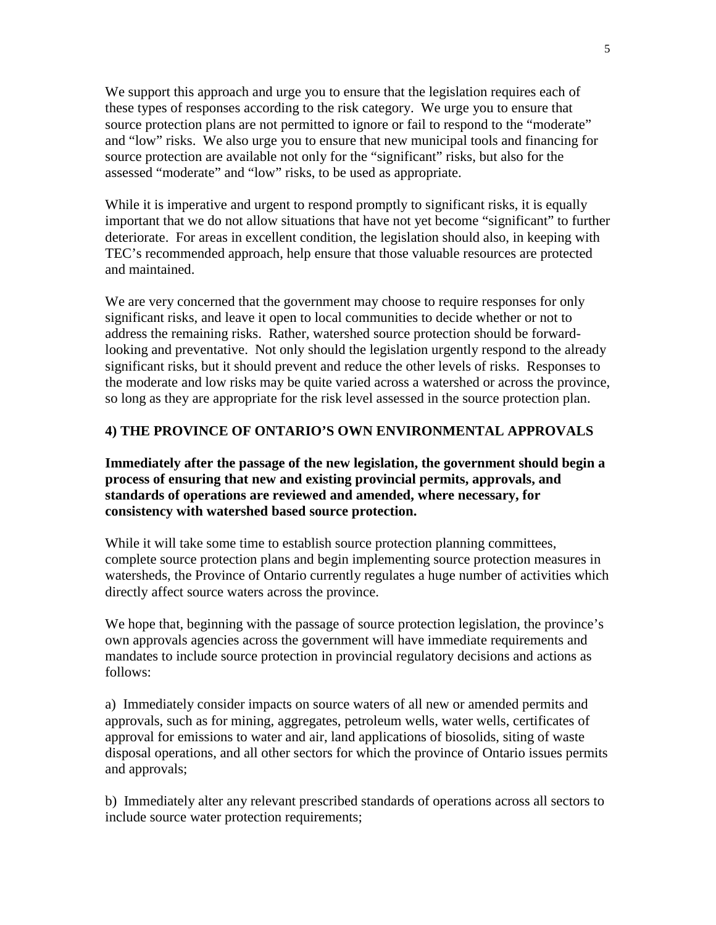We support this approach and urge you to ensure that the legislation requires each of these types of responses according to the risk category. We urge you to ensure that source protection plans are not permitted to ignore or fail to respond to the "moderate" and "low" risks. We also urge you to ensure that new municipal tools and financing for source protection are available not only for the "significant" risks, but also for the assessed "moderate" and "low" risks, to be used as appropriate.

While it is imperative and urgent to respond promptly to significant risks, it is equally important that we do not allow situations that have not yet become "significant" to further deteriorate. For areas in excellent condition, the legislation should also, in keeping with TEC's recommended approach, help ensure that those valuable resources are protected and maintained.

We are very concerned that the government may choose to require responses for only significant risks, and leave it open to local communities to decide whether or not to address the remaining risks. Rather, watershed source protection should be forwardlooking and preventative. Not only should the legislation urgently respond to the already significant risks, but it should prevent and reduce the other levels of risks. Responses to the moderate and low risks may be quite varied across a watershed or across the province, so long as they are appropriate for the risk level assessed in the source protection plan.

# **4) THE PROVINCE OF ONTARIO'S OWN ENVIRONMENTAL APPROVALS**

**Immediately after the passage of the new legislation, the government should begin a process of ensuring that new and existing provincial permits, approvals, and standards of operations are reviewed and amended, where necessary, for consistency with watershed based source protection.**

While it will take some time to establish source protection planning committees, complete source protection plans and begin implementing source protection measures in watersheds, the Province of Ontario currently regulates a huge number of activities which directly affect source waters across the province.

We hope that, beginning with the passage of source protection legislation, the province's own approvals agencies across the government will have immediate requirements and mandates to include source protection in provincial regulatory decisions and actions as follows:

a) Immediately consider impacts on source waters of all new or amended permits and approvals, such as for mining, aggregates, petroleum wells, water wells, certificates of approval for emissions to water and air, land applications of biosolids, siting of waste disposal operations, and all other sectors for which the province of Ontario issues permits and approvals;

b) Immediately alter any relevant prescribed standards of operations across all sectors to include source water protection requirements;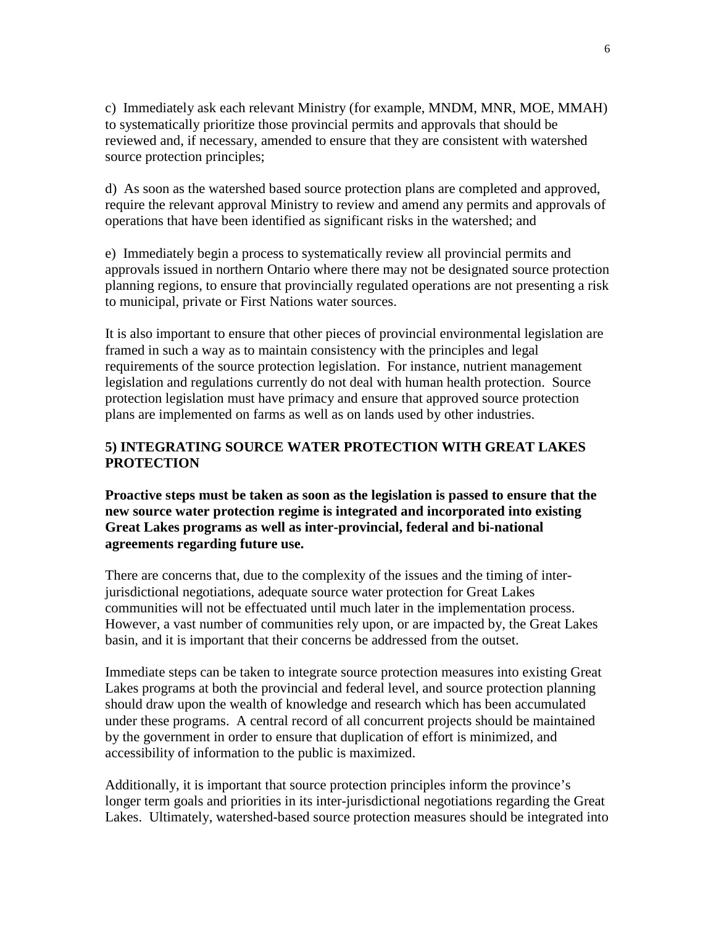c) Immediately ask each relevant Ministry (for example, MNDM, MNR, MOE, MMAH) to systematically prioritize those provincial permits and approvals that should be reviewed and, if necessary, amended to ensure that they are consistent with watershed source protection principles;

d) As soon as the watershed based source protection plans are completed and approved, require the relevant approval Ministry to review and amend any permits and approvals of operations that have been identified as significant risks in the watershed; and

e) Immediately begin a process to systematically review all provincial permits and approvals issued in northern Ontario where there may not be designated source protection planning regions, to ensure that provincially regulated operations are not presenting a risk to municipal, private or First Nations water sources.

It is also important to ensure that other pieces of provincial environmental legislation are framed in such a way as to maintain consistency with the principles and legal requirements of the source protection legislation. For instance, nutrient management legislation and regulations currently do not deal with human health protection. Source protection legislation must have primacy and ensure that approved source protection plans are implemented on farms as well as on lands used by other industries.

# **5) INTEGRATING SOURCE WATER PROTECTION WITH GREAT LAKES PROTECTION**

**Proactive steps must be taken as soon as the legislation is passed to ensure that the new source water protection regime is integrated and incorporated into existing Great Lakes programs as well as inter-provincial, federal and bi-national agreements regarding future use.**

There are concerns that, due to the complexity of the issues and the timing of interjurisdictional negotiations, adequate source water protection for Great Lakes communities will not be effectuated until much later in the implementation process. However, a vast number of communities rely upon, or are impacted by, the Great Lakes basin, and it is important that their concerns be addressed from the outset.

Immediate steps can be taken to integrate source protection measures into existing Great Lakes programs at both the provincial and federal level, and source protection planning should draw upon the wealth of knowledge and research which has been accumulated under these programs. A central record of all concurrent projects should be maintained by the government in order to ensure that duplication of effort is minimized, and accessibility of information to the public is maximized.

Additionally, it is important that source protection principles inform the province's longer term goals and priorities in its inter-jurisdictional negotiations regarding the Great Lakes. Ultimately, watershed-based source protection measures should be integrated into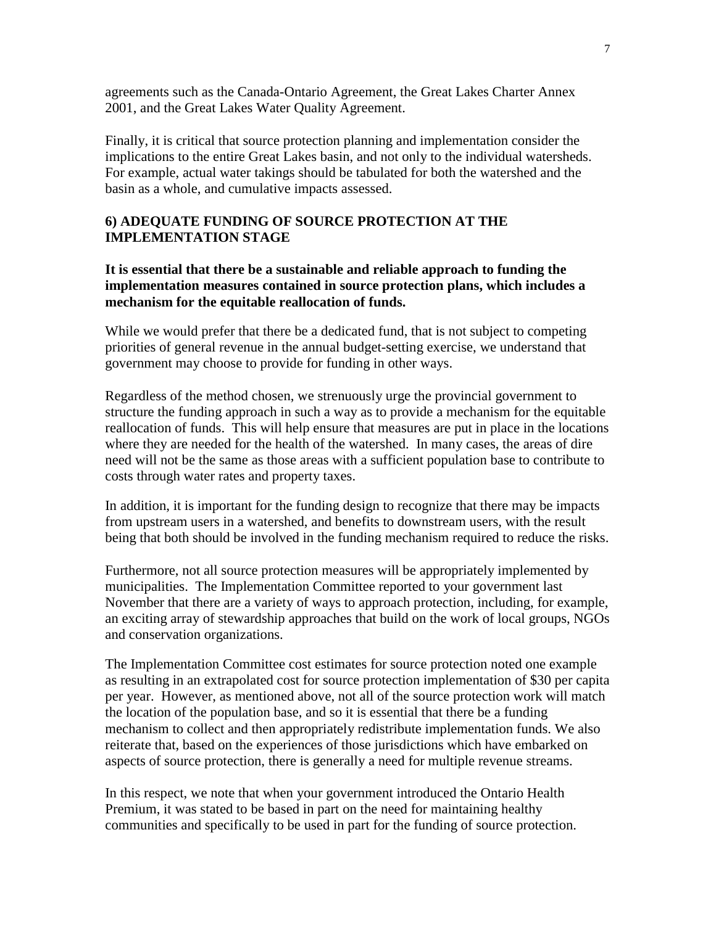agreements such as the Canada-Ontario Agreement, the Great Lakes Charter Annex 2001, and the Great Lakes Water Quality Agreement.

Finally, it is critical that source protection planning and implementation consider the implications to the entire Great Lakes basin, and not only to the individual watersheds. For example, actual water takings should be tabulated for both the watershed and the basin as a whole, and cumulative impacts assessed.

# **6) ADEQUATE FUNDING OF SOURCE PROTECTION AT THE IMPLEMENTATION STAGE**

**It is essential that there be a sustainable and reliable approach to funding the implementation measures contained in source protection plans, which includes a mechanism for the equitable reallocation of funds.**

While we would prefer that there be a dedicated fund, that is not subject to competing priorities of general revenue in the annual budget-setting exercise, we understand that government may choose to provide for funding in other ways.

Regardless of the method chosen, we strenuously urge the provincial government to structure the funding approach in such a way as to provide a mechanism for the equitable reallocation of funds. This will help ensure that measures are put in place in the locations where they are needed for the health of the watershed. In many cases, the areas of dire need will not be the same as those areas with a sufficient population base to contribute to costs through water rates and property taxes.

In addition, it is important for the funding design to recognize that there may be impacts from upstream users in a watershed, and benefits to downstream users, with the result being that both should be involved in the funding mechanism required to reduce the risks.

Furthermore, not all source protection measures will be appropriately implemented by municipalities. The Implementation Committee reported to your government last November that there are a variety of ways to approach protection, including, for example, an exciting array of stewardship approaches that build on the work of local groups, NGOs and conservation organizations.

The Implementation Committee cost estimates for source protection noted one example as resulting in an extrapolated cost for source protection implementation of \$30 per capita per year. However, as mentioned above, not all of the source protection work will match the location of the population base, and so it is essential that there be a funding mechanism to collect and then appropriately redistribute implementation funds. We also reiterate that, based on the experiences of those jurisdictions which have embarked on aspects of source protection, there is generally a need for multiple revenue streams.

In this respect, we note that when your government introduced the Ontario Health Premium, it was stated to be based in part on the need for maintaining healthy communities and specifically to be used in part for the funding of source protection.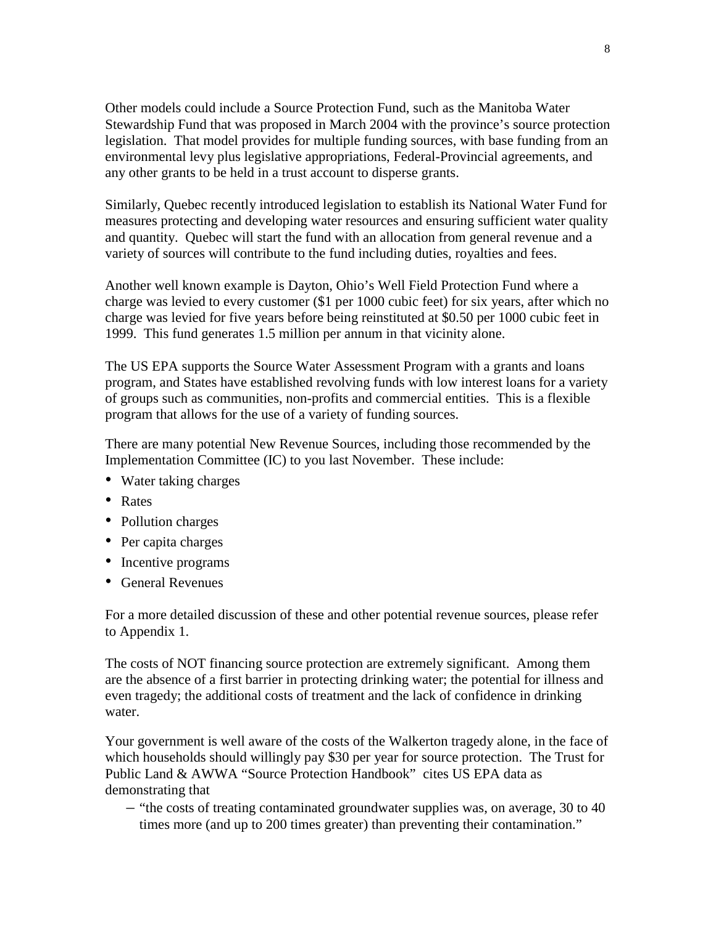Other models could include a Source Protection Fund, such as the Manitoba Water Stewardship Fund that was proposed in March 2004 with the province's source protection legislation. That model provides for multiple funding sources, with base funding from an environmental levy plus legislative appropriations, Federal-Provincial agreements, and any other grants to be held in a trust account to disperse grants.

Similarly, Quebec recently introduced legislation to establish its National Water Fund for measures protecting and developing water resources and ensuring sufficient water quality and quantity. Quebec will start the fund with an allocation from general revenue and a variety of sources will contribute to the fund including duties, royalties and fees.

Another well known example is Dayton, Ohio's Well Field Protection Fund where a charge was levied to every customer (\$1 per 1000 cubic feet) for six years, after which no charge was levied for five years before being reinstituted at \$0.50 per 1000 cubic feet in 1999. This fund generates 1.5 million per annum in that vicinity alone.

The US EPA supports the Source Water Assessment Program with a grants and loans program, and States have established revolving funds with low interest loans for a variety of groups such as communities, non-profits and commercial entities. This is a flexible program that allows for the use of a variety of funding sources.

There are many potential New Revenue Sources, including those recommended by the Implementation Committee (IC) to you last November. These include:

- Water taking charges
- Rates
- Pollution charges
- Per capita charges
- Incentive programs
- General Revenues

For a more detailed discussion of these and other potential revenue sources, please refer to Appendix 1.

The costs of NOT financing source protection are extremely significant. Among them are the absence of a first barrier in protecting drinking water; the potential for illness and even tragedy; the additional costs of treatment and the lack of confidence in drinking water.

Your government is well aware of the costs of the Walkerton tragedy alone, in the face of which households should willingly pay \$30 per year for source protection. The Trust for Public Land & AWWA "Source Protection Handbook" cites US EPA data as demonstrating that

– "the costs of treating contaminated groundwater supplies was, on average, 30 to 40 times more (and up to 200 times greater) than preventing their contamination."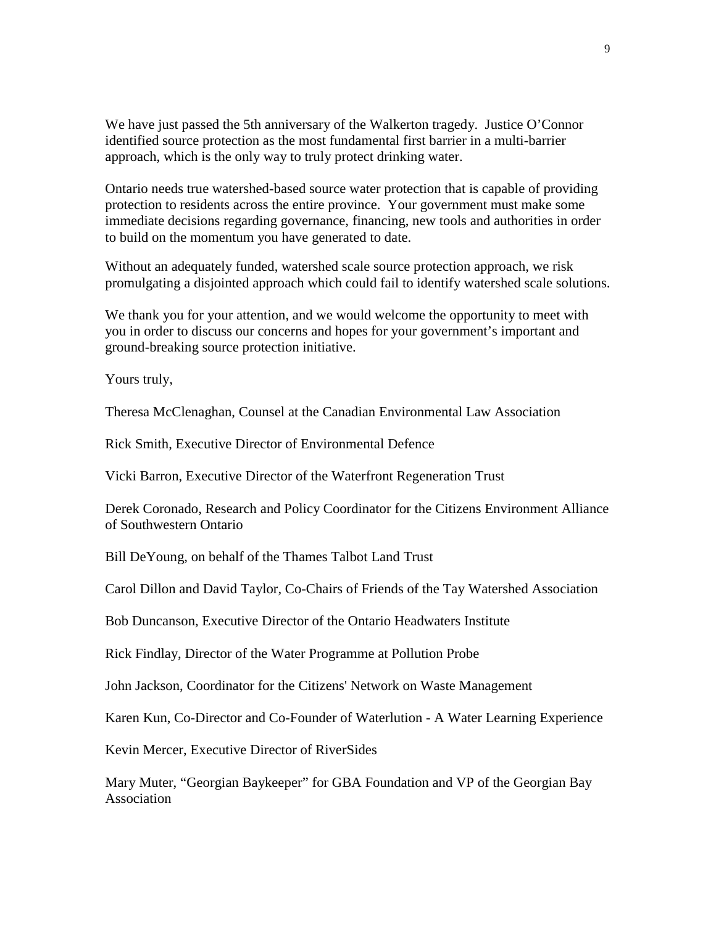We have just passed the 5th anniversary of the Walkerton tragedy. Justice O'Connor identified source protection as the most fundamental first barrier in a multi-barrier approach, which is the only way to truly protect drinking water.

Ontario needs true watershed-based source water protection that is capable of providing protection to residents across the entire province. Your government must make some immediate decisions regarding governance, financing, new tools and authorities in order to build on the momentum you have generated to date.

Without an adequately funded, watershed scale source protection approach, we risk promulgating a disjointed approach which could fail to identify watershed scale solutions.

We thank you for your attention, and we would welcome the opportunity to meet with you in order to discuss our concerns and hopes for your government's important and ground-breaking source protection initiative.

Yours truly,

Theresa McClenaghan, Counsel at the Canadian Environmental Law Association

Rick Smith, Executive Director of Environmental Defence

Vicki Barron, Executive Director of the Waterfront Regeneration Trust

Derek Coronado, Research and Policy Coordinator for the Citizens Environment Alliance of Southwestern Ontario

Bill DeYoung, on behalf of the Thames Talbot Land Trust

Carol Dillon and David Taylor, Co-Chairs of Friends of the Tay Watershed Association

Bob Duncanson, Executive Director of the Ontario Headwaters Institute

Rick Findlay, Director of the Water Programme at Pollution Probe

John Jackson, Coordinator for the Citizens' Network on Waste Management

Karen Kun, Co-Director and Co-Founder of Waterlution - A Water Learning Experience

Kevin Mercer, Executive Director of RiverSides

Mary Muter, "Georgian Baykeeper" for GBA Foundation and VP of the Georgian Bay Association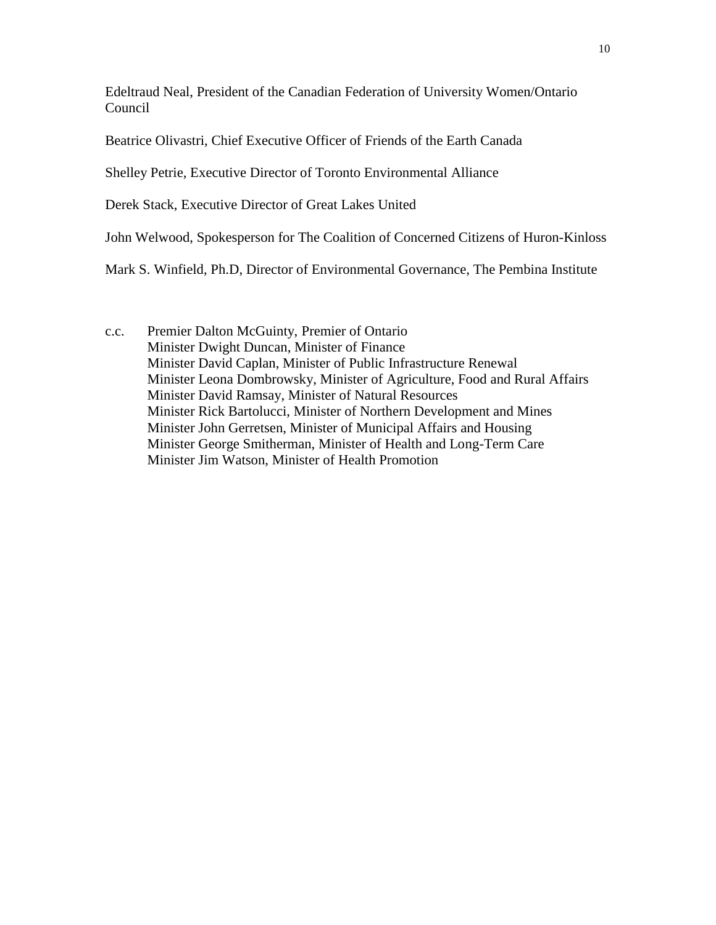Edeltraud Neal, President of the Canadian Federation of University Women/Ontario Council

Beatrice Olivastri, Chief Executive Officer of Friends of the Earth Canada

Shelley Petrie, Executive Director of Toronto Environmental Alliance

Derek Stack, Executive Director of Great Lakes United

John Welwood, Spokesperson for The Coalition of Concerned Citizens of Huron-Kinloss

Mark S. Winfield, Ph.D, Director of Environmental Governance, The Pembina Institute

c.c. Premier Dalton McGuinty, Premier of Ontario Minister Dwight Duncan, Minister of Finance Minister David Caplan, Minister of Public Infrastructure Renewal Minister Leona Dombrowsky, Minister of Agriculture, Food and Rural Affairs Minister David Ramsay, Minister of Natural Resources Minister Rick Bartolucci, Minister of Northern Development and Mines Minister John Gerretsen, Minister of Municipal Affairs and Housing Minister George Smitherman, Minister of Health and Long-Term Care Minister Jim Watson, Minister of Health Promotion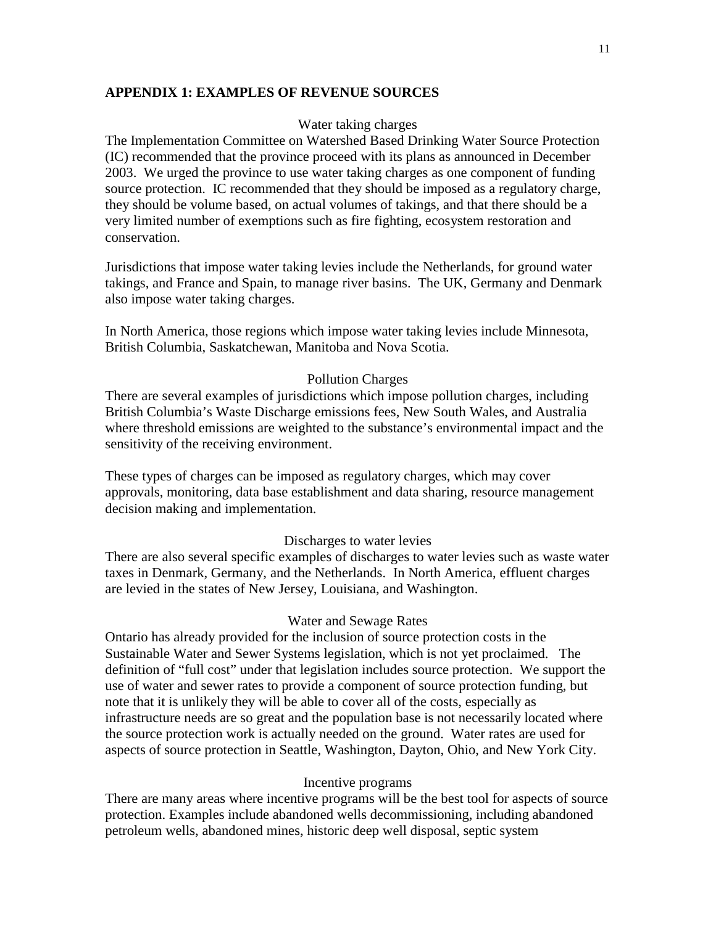# **APPENDIX 1: EXAMPLES OF REVENUE SOURCES**

# Water taking charges

The Implementation Committee on Watershed Based Drinking Water Source Protection (IC) recommended that the province proceed with its plans as announced in December 2003. We urged the province to use water taking charges as one component of funding source protection. IC recommended that they should be imposed as a regulatory charge, they should be volume based, on actual volumes of takings, and that there should be a very limited number of exemptions such as fire fighting, ecosystem restoration and conservation.

Jurisdictions that impose water taking levies include the Netherlands, for ground water takings, and France and Spain, to manage river basins. The UK, Germany and Denmark also impose water taking charges.

In North America, those regions which impose water taking levies include Minnesota, British Columbia, Saskatchewan, Manitoba and Nova Scotia.

### Pollution Charges

There are several examples of jurisdictions which impose pollution charges, including British Columbia's Waste Discharge emissions fees, New South Wales, and Australia where threshold emissions are weighted to the substance's environmental impact and the sensitivity of the receiving environment.

These types of charges can be imposed as regulatory charges, which may cover approvals, monitoring, data base establishment and data sharing, resource management decision making and implementation.

### Discharges to water levies

There are also several specific examples of discharges to water levies such as waste water taxes in Denmark, Germany, and the Netherlands. In North America, effluent charges are levied in the states of New Jersey, Louisiana, and Washington.

### Water and Sewage Rates

Ontario has already provided for the inclusion of source protection costs in the Sustainable Water and Sewer Systems legislation, which is not yet proclaimed. The definition of "full cost" under that legislation includes source protection. We support the use of water and sewer rates to provide a component of source protection funding, but note that it is unlikely they will be able to cover all of the costs, especially as infrastructure needs are so great and the population base is not necessarily located where the source protection work is actually needed on the ground. Water rates are used for aspects of source protection in Seattle, Washington, Dayton, Ohio, and New York City.

### Incentive programs

There are many areas where incentive programs will be the best tool for aspects of source protection. Examples include abandoned wells decommissioning, including abandoned petroleum wells, abandoned mines, historic deep well disposal, septic system